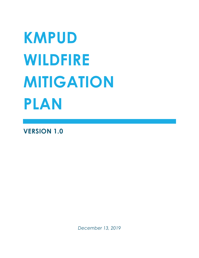# **KMPUD WILDFIRE MITIGATION PLAN**

**VERSION 1.0**

*December 13, 2019*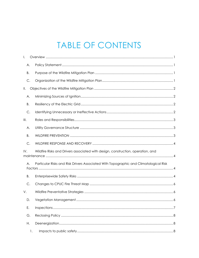# **TABLE OF CONTENTS**

| I.            |                                                                                       |
|---------------|---------------------------------------------------------------------------------------|
| Α.            |                                                                                       |
| В.            |                                                                                       |
| C.            |                                                                                       |
| Ⅱ.            |                                                                                       |
| Α.            |                                                                                       |
| Β.            |                                                                                       |
| $\mathsf{C}.$ |                                                                                       |
| III.          |                                                                                       |
| А.            |                                                                                       |
| Β.            |                                                                                       |
| C.            |                                                                                       |
| IV.           | Wildfire Risks and Drivers associated with design, construction, operation, and       |
| Α.            | Particular Risks and Risk Drivers Associated With Topographic and Climatological Risk |
| Β.            |                                                                                       |
| $\mathsf{C}.$ |                                                                                       |
| V.            |                                                                                       |
| D.            | 6                                                                                     |
| Ε.            |                                                                                       |
| G.            |                                                                                       |
| Η.            |                                                                                       |
| 1.            |                                                                                       |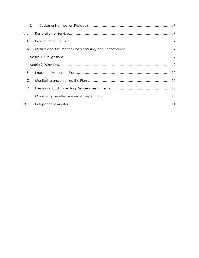| 2.    |  |
|-------|--|
| VII.  |  |
| VIII. |  |
| Α.    |  |
|       |  |
|       |  |
| В.    |  |
| C.    |  |
| D.    |  |
| Ε.    |  |
| IX.   |  |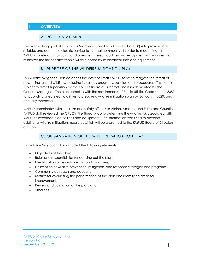# <span id="page-3-1"></span><span id="page-3-0"></span>**I. OVERVIEW**

#### A. POLICY STATEMENT

The overarching goal of Kirkwood Meadows Public Utility District ('KMPUD') is to provide safe, reliable, and economic electric service to its local community. In order to meet this goal, KMPUD constructs, maintains, and operates its electrical lines and equipment in a manner that minimizes the risk of catastrophic wildfire posed by its electrical lines and equipment.

#### B. PURPOSE OF THE WILDFIRE MITIGATION PLAN

<span id="page-3-2"></span>This Wildfire Mitigation Plan describes the activities that KMPUD takes to mitigate the threat of power-line ignited wildfires, including its various programs, policies, and procedures. This plan is subject to direct supervision by the KMPUD Board of Directors and is implemented by the General Manager . This plan complies with the requirements of Public Utilities Code section 8387 for publicly owned electric utilities to prepare a wildfire mitigation plan by January 1, 2020, and annually thereafter.

KMPUD coordinates with local fire and safety officials in Alpine, Amador and El Dorado Counties. KMPUD staff reviewed the CPUC's Fire Threat Map to determine the wildfire risk associated with KMPUD's overhead electric lines and equipment. This information was used to develop additional wildfire mitigation measures which will be presented to the KMPUD Board of Directors annually.

# C. ORGANIZATION OF THE WILDFIRE MITIGATION PLAN

<span id="page-3-3"></span>This Wildfire Mitigation Plan included the following elements:

- Objectives of the plan;
- Roles and responsibilities for carrying out the plan;
- Identification of key wildfire risks and risk drivers;
- Description of wildfire prevention, mitigation, and response strategies and programs;
- Community outreach and education;
- Metrics for evaluating the performance of the plan and identifying areas for improvement;
- Review and validation of the plan; and
- Timelines.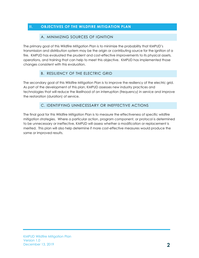# <span id="page-4-1"></span><span id="page-4-0"></span>**II. OBJECTIVES OF THE WILDFIRE MITIGATION PLAN**

#### A. MINIMIZING SOURCES OF IGNITION

The primary goal of this Wildfire Mitigation Plan is to minimize the probability that KMPUD's transmission and distribution system may be the origin or contributing source for the ignition of a fire. KMPUD has evaluated the prudent and cost-effective improvements to its physical assets, operations, and training that can help to meet this objective. KMPUD has implemented those changes consistent with this evaluation.

#### B. RESILIENCY OF THE ELECTRIC GRID

<span id="page-4-2"></span>The secondary goal of this Wildfire Mitigation Plan is to improve the resiliency of the electric grid. As part of the development of this plan, KMPUD assesses new industry practices and technologies that will reduce the likelihood of an interruption (frequency) in service and improve the restoration (duration) of service.

#### C. IDENTIFYING UNNECESSARY OR INEFFECTIVE ACTIONS

<span id="page-4-3"></span>The final goal for this Wildfire Mitigation Plan is to measure the effectiveness of specific wildfire mitigation strategies. Where a particular action, program component, or protocol is determined to be unnecessary or ineffective, KMPUD will assess whether a modification or replacement is merited. This plan will also help determine if more cost-effective measures would produce the same or improved results.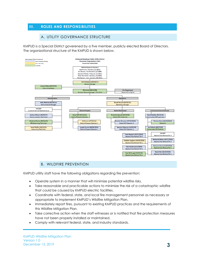# <span id="page-5-1"></span><span id="page-5-0"></span>**III. ROLES AND RESPONSIBILITIES**

#### A. UTILITY GOVERNANCE STRUCTURE

KMPUD is a Special District goverened by a five member, publicly elected Board of Directors. The organizational structure of the KMPUD is shown below.



#### B. WILDFIRE PREVENTION

<span id="page-5-2"></span>KMPUD utility staff have the following obligations regarding fire prevention:

- Operate system in a manner that will minimize potential wildfire risks.
- Take reasonable and practicable actions to minimize the risk of a catastrophic wildfire that could be caused by KMPUD electric facilities.
- Coordinate with federal, state, and local fire management personnel as necessary or appropriate to implement KMPUD's Wildfire Mitigation Plan.
- Immediately report fires, pursuant to existing KMPUD practices and the requirements of this Wildfire Mitigation Plan.
- Take corrective action when the staff witnesses or is notified that fire protection measures have not been properly installed or maintained.
- Comply with relevant federal, state, and industry standards.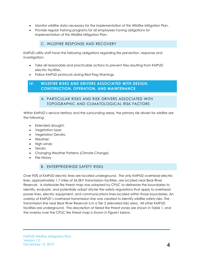- Monitor wildfire data necessary for the implementation of this Wildfire Mitigation Plan.
- Provide regular training programs for all employees having obligations for implementation of this Wildfire Mitigation Plan.

# C. WILDFIRE RESPONSE AND RECOVERY

<span id="page-6-0"></span>KMPUD utility staff have the following obligations regarding fire prevention, response and investigation:

- Take all reasonable and practicable actions to prevent fires resulting from KMPUD electric facilities.
- Follow KMPUD protocols during Red Flag Warnings.

# <span id="page-6-2"></span><span id="page-6-1"></span>**IV. WILDFIRE RISKS AND DRIVERS ASSOCIATED WITH DESIGN, CONSTRUCTION, OPERATION, AND MAINTENANCE**

# A. PARTICULAR RISKS AND RISK DRIVERS ASSOCIATED WITH TOPOGRAPHIC AND CLIMATOLOGICAL RISK FACTORS

Within KMPUD's service territory and the surrounding areas, the primary risk drivers for wildfire are the following:

- Extended drought;
- Vegetation type;
- Vegetation Density;
- Weather;
- High winds;
- Terrain;
- Changing Weather Patterns (Climate Change)
- Fire History

# B. ENTERPRISEWIDE SAFETY RISKS

<span id="page-6-3"></span>Over 95% of KMPUD electric lines are located underground. The only KMPUD overhead electric lines, approximately 1.7 miles of 34.5KV transmission facilities, are located near Bear River Reservoir. A statewide fire threat map was adopted by CPUC to delineate the boundaries to identify, evaluate, and potentially adopt stricter fire-safety regulations that apply to overhead power lines, electric equipment, and communications lines located within those boundaries. An overlay of KMPUD's overhead transmission line was created to identify wildfire safety risks. The transmission line near Bear River Reservoir is in a Tier 2 (elevated risk) area. All other KMPUD facilities are underground. The description of tiered fire threat zones are shown in Table 1, and the overlay over the CPUC fire threat map is shown in Figure1 below.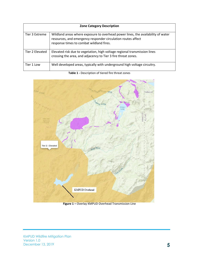| <b>Zone Category Description</b> |                                                                                                                                                                                              |  |  |  |  |  |
|----------------------------------|----------------------------------------------------------------------------------------------------------------------------------------------------------------------------------------------|--|--|--|--|--|
| Tier 3 Extreme                   | Wildland areas where exposure to overhead power lines, the availability of water<br>resources, and emergency responder circulation routes affect<br>response times to combat wildland fires. |  |  |  |  |  |
| Tier 2 Elevated                  | Elevated risk due to vegetation, high voltage regional transmission lines<br>crossing the area, and adjacency to Tier 3 fire threat zones.                                                   |  |  |  |  |  |
| Tier 1 Low                       | Well developed areas, typically with underground high voltage circuitry.                                                                                                                     |  |  |  |  |  |



**Table 1 -** Description of tiered fire threat zones

**Figure 1 –** Overlay KMPUD Overhead Transmission Line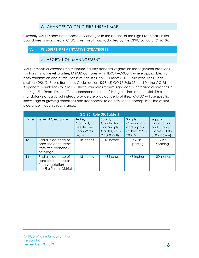# C. CHANGES TO CPUC FIRE THREAT MAP

<span id="page-8-0"></span>Currently KMPUD does not propose any changes to the borders of the High Fire Threat District boundaries as indicated in CPUC's fire threat map (adopted by the CPUC January 19, 2018).

# <span id="page-8-2"></span><span id="page-8-1"></span>**V. WILDFIRE PREVENTATIVE STRATEGIES**

#### A. VEGETATION MANAGEMENT

KMPUD meets or exceeds the minimum industry standard vegetation management practices. For transmission-level facilities, KMPUD complies with NERC FAC-003-4, where applicable. For both transmission and distribution level facilities, KMPUD meets: (1) Public Resources Code section 4292; (2) Public Resources Code section 4293; (3) GO 95 Rule 35; and (4) the GO 95 Appendix E Guidelines to Rule 35. These standards require significantly increased clearances in the High Fire Threat District. The recommended time-of-trim guidelines do not establish a mandatory standard, but instead provide useful guidance to utilities. KMPUD will use specific knowledge of growing conditions and tree species to determine the appropriate time of trim clearance in each circumstance.

| GO 95, Rule 35, Table 1 |                                                                                               |                                                                    |                                                                     |                                                                |                                                                    |  |  |  |
|-------------------------|-----------------------------------------------------------------------------------------------|--------------------------------------------------------------------|---------------------------------------------------------------------|----------------------------------------------------------------|--------------------------------------------------------------------|--|--|--|
| Case                    | <b>Type of Clearance</b>                                                                      | <b>Trolley</b><br>Contact,<br>Feeder and<br>Span Wires,<br>$0-5kv$ | Supply<br>Conductors<br>and Supply<br>Cables, 750 -<br>22,500 Volts | Supply<br>Conductors<br>and Supply<br>Cables, 22.5 -<br>300 kV | Supply<br>Conductors<br>and Supply<br>Cables, 300 -<br>550 kV (mm) |  |  |  |
| 13                      | Radial clearance of<br>bare line conductors<br>from tree branches<br>or foliage               | 18 inches                                                          | 18 inches                                                           | $\frac{1}{4}$ Pin<br>Spacing                                   | $\frac{1}{2}$ Pin<br>Spacing                                       |  |  |  |
| 14                      | Radial clearance of<br>bare line conductors<br>from vegetation in<br>the Fire-Threat District | 18 inches                                                          | 48 inches                                                           | 48 inches                                                      | 120 inches                                                         |  |  |  |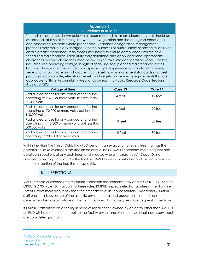#### **Appendix E Guidelines to Rule 35**

The radial clearances shown below are recommended minimum clearances that should be established, at time of trimming, between the vegetation and the energized conductors and associated live parts where practicable. Reasonable vegetation management practices may make it advantageous for the purposes of public safety or service reliability to obtain greater clearances than those listed below to ensure compliance until the next scheduled maintenance. Each utility may determine and apply additional appropriate clearances beyond clearances listed below, which take into consideration various factors, including: line operating voltage, length of span, line sag, planned maintenance cycles, location of vegetation within the span, species type, experience with particular species, vegetation growth rate and characteristics, vegetation management standards and best practices, local climate, elevation, fire risk, and vegetation trimming requirements that are applicable to State Responsibility Area lands pursuant to Public Resource Code Sections 4102 and 4293.

| <b>Voltage of Lines</b>                                                                                             | Case 13 | Case 14 |
|---------------------------------------------------------------------------------------------------------------------|---------|---------|
| Radial clearances for any conductor of a line<br>operating at 2,400 or more volts, but less than<br>72,000 volts    | 4 feet  | 12 feet |
| Radial clearances for any conductor of a line<br>operating at 72,000 or more volts, but less than<br>110,000 volts  | 6 feet  | 20 feet |
| Radial clearances for any conductor of a line<br>operating at 110,000 or more volts, but less than<br>300,000 volts | 10 feet | 30 feet |
| Radial clearances for any conductor of a line<br>operating at 300,000 or more volts                                 | 15 feet | 30 feet |

Within the High Fire Threat District, KMPUD performs an evaluation of every tree that has the potential to strike overhead facilities on an annual basis. KMPUD performs more frequent and detailed inspections of any such trees, and in cases where "hazard trees" (Dead, Dying, Diseased or leaning) could strike the facilities, KMPUD will work with the land owner to remove the tree or portion of the tree that poses a risk.

#### B. INSPECTIONS

<span id="page-9-0"></span>KMPUD meets or exceeds the minimum inspection requirements provided in CPUC GO 165 and CPUC GO 95, Rule 18. Pursuant to these rules, KMPUD inspects electric facilities in the High Fire Threat District more frequently than the other areas of its service territory. Additionally, KMPUD staff uses their knowledge of the specific environmental and geographical conditions to determine when areas outside of the High Fire Threat District require more frequent inspections.

If KMPUD staff discovers a facility in need of repair that is owned by an entity other than KMPUD, KMPUD will issue a notice to repair to the facility owner and work to ensure that necessary repairs are completed promptly.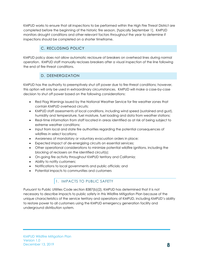KMPUD works to ensure that all inspections to be performed within the High Fire Threat District are completed before the beginning of the historic fire season, [typically September 1]. KMPUD monitors drought conditions and other relevant factors throughout the year to determine if inspections should be completed on a shorter timeframe.

# C. RECLOSING POLICY

<span id="page-10-0"></span>KMPUD policy does not allow automatic reclosure of breakers on overhead lines during normal operation. KMPUD staff manually recloses breakers after a visual inspection of the line following the end of fire-threat conditions.

# D. DEENERGIZATION

<span id="page-10-1"></span>KMPUD has the authority to preemptively shut off power due to fire-threat conditions; however, this option will only be used in extraordinary circumstances. KMPUD will make a case-by-case decision to shut off power based on the following considerations:

- Red Flag Warnings issued by the National Weather Service for fire weather zones that contain KMPUD overhead circuits;
- KMPUD staff assessments of local conditions, including wind speed (sustained and gust), humidity and temperature, fuel moisture, fuel loading and data from weather stations;
- Real-time information from staff located in areas identified as at risk of being subject to extreme weather conditions;
- Input from local and state fire authorities regarding the potential consequences of wildfires in select locations;
- Awareness of mandatory or voluntary evacuation orders in place;
- Expected impact of de-energizing circuits on essential services;
- Other operational considerations to minimize potential wildfire ignitions, including the blocking of reclosers on the identified circuit(s);
- On-going fire activity throughout KMPUD territory and California;
- Ability to notify customers;
- Notifications to local governments and public officials; and
- <span id="page-10-2"></span>• Potential impacts to communities and customers

# 1. IMPACTS TO PUBLIC SAFETY

Pursuant to Public Utilities Code section 8387(b)(2), KMPUD has determined that it is not necessary to describe impacts to public safety in this Wildfire Mitigation Plan because of the unique characteristics of the service territory and operations of KMPUD, including KMPUD's ability to restore power to all customers using the KMPUD emergency generation facility and underground distribution system.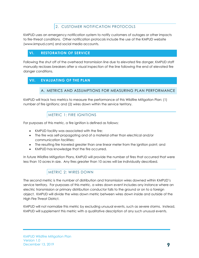# 2. CUSTOMER NOTIFICATION PROTOCOLS

<span id="page-11-0"></span>KMPUD uses an emergency notification system to notify customers of outages or other impacts to fire-threat conditions. Other notification protocols include the use of the KMPUD website (www.kmpud.com) and social media accounts.

#### <span id="page-11-1"></span>**VI. RESTORATION OF SERVICE**

Following the shut off of the overhead transmission line due to elevated fire danger, KMPUD staff manually recloses breakers after a visual inspection of the line following the end of elevated fire danger conditions.

#### <span id="page-11-3"></span><span id="page-11-2"></span>**VII. EVALUATING OF THE PLAN**

#### A. METRICS AND ASSUMPTIONS FOR MEASURING PLAN PERFORMANCE

KMPUD will track two metrics to measure the performance of this Wildfire Mitigation Plan: (1) number of fire ignitions; and (2) wires down within the service territory.

# METRIC 1: FIRE IGNITIONS

<span id="page-11-4"></span>For purposes of this metric, a fire ignition is defined as follows:

- KMPUD facility was associated with the fire;
- The fire was self-propagating and of a material other than electrical and/or communication facilities;
- The resulting fire traveled greater than one linear meter from the ignition point; and
- KMPUD has knowledge that the fire occurred.

In future Wildfire Mitigation Plans, KMPUD will provide the number of fires that occurred that were less than 10 acres in size. Any fires greater than 10 acres will be individually described.

# METRIC 2: WIRES DOWN

<span id="page-11-5"></span>The second metric is the number of distribution and transmission wires downed within KMPUD's service territory. For purposes of this metric, a wires down event includes any instance where an electric transmission or primary distribution conductor falls to the ground or on to a foreign object. KMPUD will divide the wires down metric between wires down inside and outside of the High Fire Threat District.

KMPUD will not normalize this metric by excluding unusual events, such as severe storms. Instead, KMPUD will supplement this metric with a qualitative description of any such unusual events.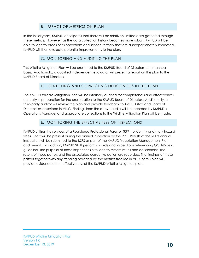# B. IMPACT OF METRICS ON PLAN

<span id="page-12-0"></span>In the initial years, KMPUD anticipates that there will be relatively limited data gathered through these metrics. However, as the data collection history becomes more robust, KMPUD will be able to identify areas of its operations and service territory that are disproportionately impacted. KMPUD will then evaluate potential improvements to the plan.

# C. MONITORING AND AUDITING THE PLAN

<span id="page-12-1"></span>This Wildfire Mitigation Plan will be presented to the KMPUD Board of Directors on an annual basis. Additionally, a qualified independent evaluator will present a report on this plan to the KMPUD Board of Directors.

#### D. IDENTIFYING AND CORRECTING DEFICIENCIES IN THE PLAN

<span id="page-12-2"></span>The KMPUD Wildfire Mitigation Plan will be internally audited for completeness and effectiveness annually in preparation for the presentation to the KMPUD Board of Directors. Additionally, a third-party auditor will review the plan and provide feedback to KMPUD staff and Board of Directors as described in VIII.C. Findings from the above audits will be recorded by KMPUD's Operations Manager and appropriate corrections to the Wildfire Mitigation Plan will be made.

#### E. MONITORING THE EFFECTIVENESS OF INSPECTIONS

<span id="page-12-3"></span>KMPUD utilizes the services of a Registered Professional Forester (RPF) to identify and mark hazard trees. Staff will be present during the annual inspection by the RPF. Results of the RPF's annual inspection will be submitted to the USFS as part of the KMPUD Vegetation Management Plan and permit. In addition, KMPUD Staff performs patrols and inspections referencing GO 165 as a guideline. The purpose of these inspections is to identify system issues and deficiencies. The results of these patrols and the associated corrective action are recorded. The findings of these patrols together with any trending provided by the metrics tracked in VIII.A of this plan will provide evidence of the effectiveness of the KMPUD Wildfire Mitigation plan.